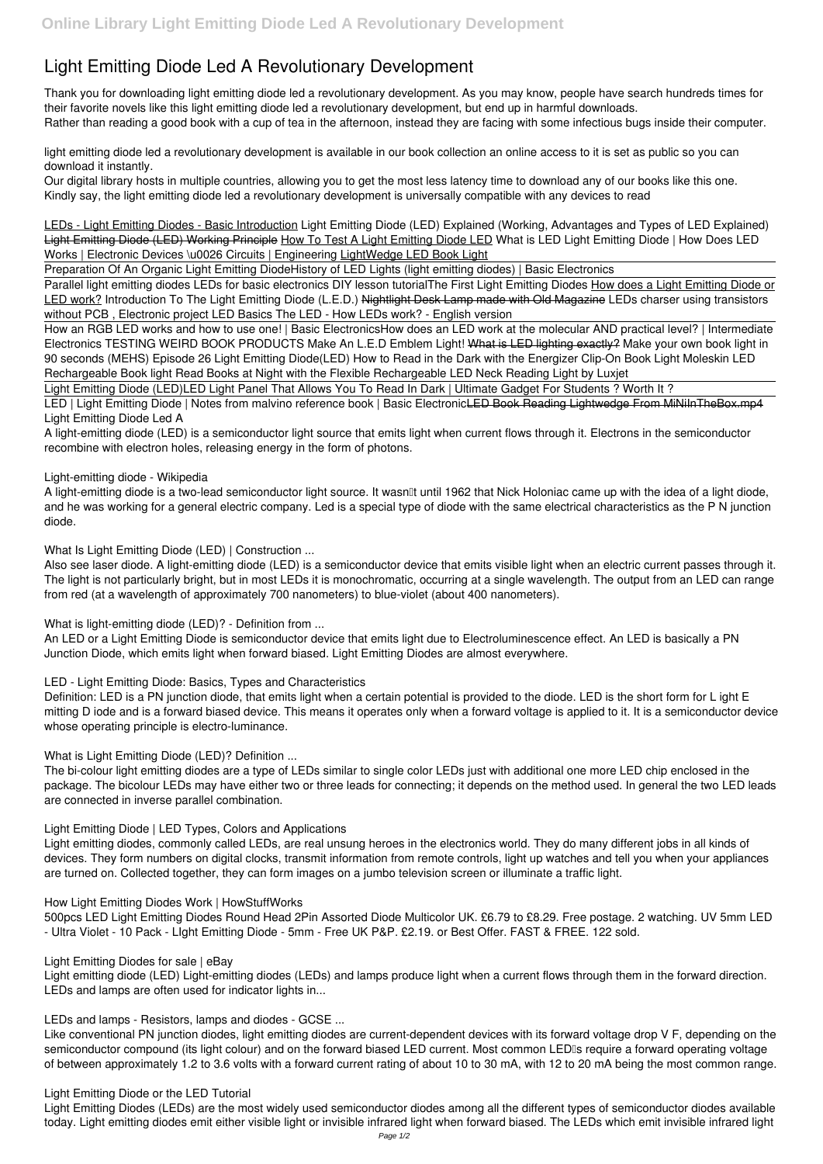# **Light Emitting Diode Led A Revolutionary Development**

Thank you for downloading **light emitting diode led a revolutionary development**. As you may know, people have search hundreds times for their favorite novels like this light emitting diode led a revolutionary development, but end up in harmful downloads. Rather than reading a good book with a cup of tea in the afternoon, instead they are facing with some infectious bugs inside their computer.

LEDs - Light Emitting Diodes - Basic Introduction *Light Emitting Diode (LED) Explained (Working, Advantages and Types of LED Explained)* Light Emitting Diode (LED) Working Principle How To Test A Light Emitting Diode LED What is LED Light Emitting Diode | How Does LED Works | Electronic Devices \u0026 Circuits | Engineering LightWedge LED Book Light

light emitting diode led a revolutionary development is available in our book collection an online access to it is set as public so you can download it instantly.

Our digital library hosts in multiple countries, allowing you to get the most less latency time to download any of our books like this one. Kindly say, the light emitting diode led a revolutionary development is universally compatible with any devices to read

LED | Light Emitting Diode | Notes from malvino reference book | Basic ElectronicLED Book Reading Lightwedge From MiNiInTheBox.mp4 **Light Emitting Diode Led A**

Preparation Of An Organic Light Emitting Diode*History of LED Lights (light emitting diodes) | Basic Electronics*

A light-emitting diode is a two-lead semiconductor light source. It wasn<sup>''</sup> until 1962 that Nick Holoniac came up with the idea of a light diode, and he was working for a general electric company. Led is a special type of diode with the same electrical characteristics as the P N junction diode.

Parallel light emitting diodes LEDs for basic electronics DIY lesson tutorial**The First Light Emitting Diodes** How does a Light Emitting Diode or LED work? *Introduction To The Light Emitting Diode (L.E.D.)* Nightlight Desk Lamp made with Old Magazine **LEDs charser using transistors without PCB , Electronic project LED Basics The LED - How LEDs work? - English version**

How an RGB LED works and how to use one! | Basic Electronics*How does an LED work at the molecular AND practical level? | Intermediate Electronics TESTING WEIRD BOOK PRODUCTS Make An L.E.D Emblem Light!* What is LED lighting exactly? *Make your own book light in 90 seconds (MEHS) Episode 26 Light Emitting Diode(LED)* **How to Read in the Dark with the Energizer Clip-On Book Light** Moleskin LED Rechargeable Book light **Read Books at Night with the Flexible Rechargeable LED Neck Reading Light by Luxjet**

Light Emitting Diode (LED)*LED Light Panel That Allows You To Read In Dark | Ultimate Gadget For Students ? Worth It ?*

A light-emitting diode (LED) is a semiconductor light source that emits light when current flows through it. Electrons in the semiconductor recombine with electron holes, releasing energy in the form of photons.

**Light-emitting diode - Wikipedia**

**What Is Light Emitting Diode (LED) | Construction ...**

Also see laser diode. A light-emitting diode (LED) is a semiconductor device that emits visible light when an electric current passes through it. The light is not particularly bright, but in most LEDs it is monochromatic, occurring at a single wavelength. The output from an LED can range from red (at a wavelength of approximately 700 nanometers) to blue-violet (about 400 nanometers).

**What is light-emitting diode (LED)? - Definition from ...**

An LED or a Light Emitting Diode is semiconductor device that emits light due to Electroluminescence effect. An LED is basically a PN Junction Diode, which emits light when forward biased. Light Emitting Diodes are almost everywhere.

**LED - Light Emitting Diode: Basics, Types and Characteristics**

Definition: LED is a PN junction diode, that emits light when a certain potential is provided to the diode. LED is the short form for L ight E mitting D iode and is a forward biased device. This means it operates only when a forward voltage is applied to it. It is a semiconductor device whose operating principle is electro-luminance.

**What is Light Emitting Diode (LED)? Definition ...**

The bi-colour light emitting diodes are a type of LEDs similar to single color LEDs just with additional one more LED chip enclosed in the package. The bicolour LEDs may have either two or three leads for connecting; it depends on the method used. In general the two LED leads are connected in inverse parallel combination.

### **Light Emitting Diode | LED Types, Colors and Applications**

Light emitting diodes, commonly called LEDs, are real unsung heroes in the electronics world. They do many different jobs in all kinds of devices. They form numbers on digital clocks, transmit information from remote controls, light up watches and tell you when your appliances are turned on. Collected together, they can form images on a jumbo television screen or illuminate a traffic light.

#### **How Light Emitting Diodes Work | HowStuffWorks**

500pcs LED Light Emitting Diodes Round Head 2Pin Assorted Diode Multicolor UK. £6.79 to £8.29. Free postage. 2 watching. UV 5mm LED - Ultra Violet - 10 Pack - LIght Emitting Diode - 5mm - Free UK P&P. £2.19. or Best Offer. FAST & FREE. 122 sold.

**Light Emitting Diodes for sale | eBay**

Light emitting diode (LED) Light-emitting diodes (LEDs) and lamps produce light when a current flows through them in the forward direction. LEDs and lamps are often used for indicator lights in...

**LEDs and lamps - Resistors, lamps and diodes - GCSE ...**

Like conventional PN junction diodes, light emitting diodes are current-dependent devices with its forward voltage drop V F, depending on the semiconductor compound (its light colour) and on the forward biased LED current. Most common LED<sub>II</sub>'s require a forward operating voltage of between approximately 1.2 to 3.6 volts with a forward current rating of about 10 to 30 mA, with 12 to 20 mA being the most common range.

**Light Emitting Diode or the LED Tutorial**

Light Emitting Diodes (LEDs) are the most widely used semiconductor diodes among all the different types of semiconductor diodes available today. Light emitting diodes emit either visible light or invisible infrared light when forward biased. The LEDs which emit invisible infrared light